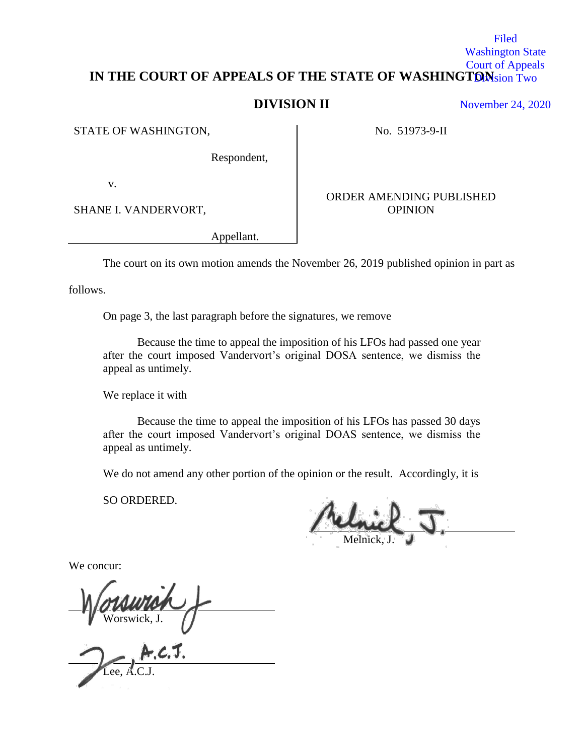## IN THE COURT OF APPEALS OF THE STATE OF WASHINGTONsion Two Washington State Court of Appeals

# **DIVISION II**

STATE OF WASHINGTON, No. 51973-9-II

ORDER AMENDING PUBLISHED

Respondent,

v.

SHANE I. VANDERVORT, SHANE I. VANDERVORT,

Appellant.

The court on its own motion amends the November 26, 2019 published opinion in part as

follows.

On page 3, the last paragraph before the signatures, we remove

Because the time to appeal the imposition of his LFOs had passed one year after the court imposed Vandervort's original DOSA sentence, we dismiss the appeal as untimely.

We replace it with

Because the time to appeal the imposition of his LFOs has passed 30 days after the court imposed Vandervort's original DOAS sentence, we dismiss the appeal as untimely.

We do not amend any other portion of the opinion or the result. Accordingly, it is

SO ORDERED.

Melnick, J.

We concur:

Worswick, J.

Lee, A.C.J.

November 24, 2020

Filed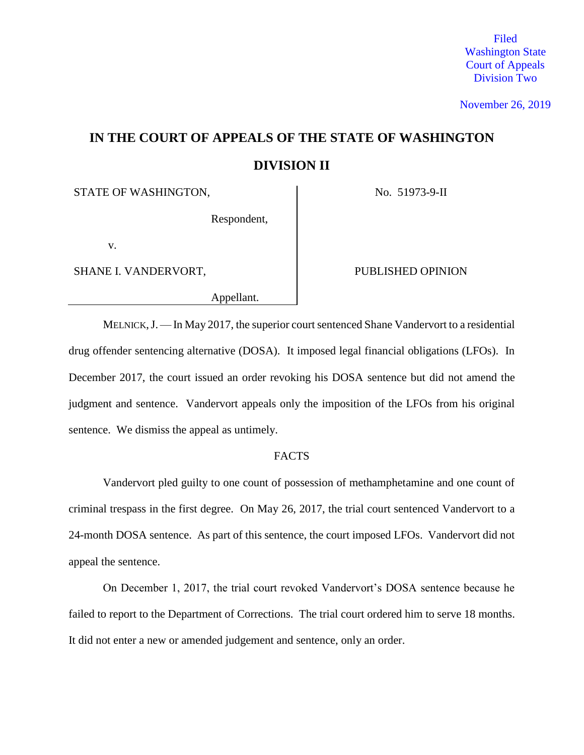Filed Washington State Court of Appeals Division Two

November 26, 2019

# **IN THE COURT OF APPEALS OF THE STATE OF WASHINGTON DIVISION II**

STATE OF WASHINGTON, No. 51973-9-II

Respondent,

v.

SHANE I. VANDERVORT, PUBLISHED OPINION

Appellant.

MELNICK,J.—In May 2017, the superior court sentenced Shane Vandervort to a residential drug offender sentencing alternative (DOSA). It imposed legal financial obligations (LFOs). In December 2017, the court issued an order revoking his DOSA sentence but did not amend the judgment and sentence. Vandervort appeals only the imposition of the LFOs from his original sentence. We dismiss the appeal as untimely.

## FACTS

Vandervort pled guilty to one count of possession of methamphetamine and one count of criminal trespass in the first degree. On May 26, 2017, the trial court sentenced Vandervort to a 24-month DOSA sentence. As part of this sentence, the court imposed LFOs. Vandervort did not appeal the sentence.

On December 1, 2017, the trial court revoked Vandervort's DOSA sentence because he failed to report to the Department of Corrections. The trial court ordered him to serve 18 months. It did not enter a new or amended judgement and sentence, only an order.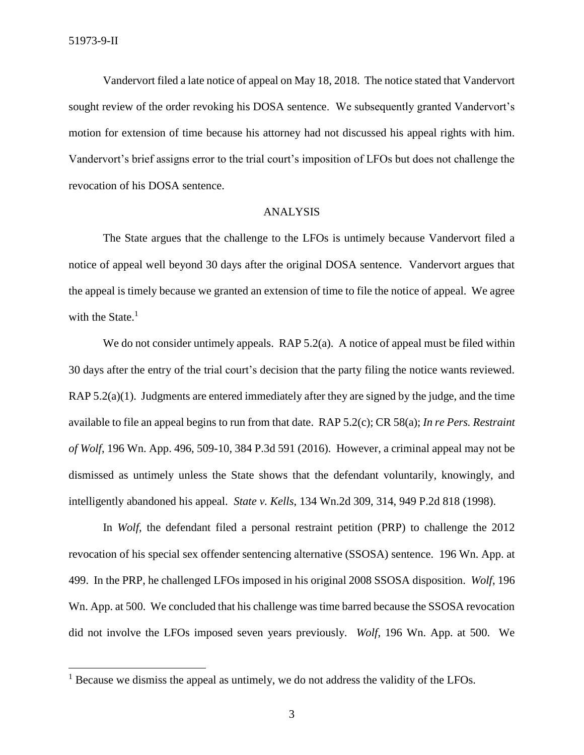$\overline{\phantom{a}}$ 

Vandervort filed a late notice of appeal on May 18, 2018. The notice stated that Vandervort sought review of the order revoking his DOSA sentence. We subsequently granted Vandervort's motion for extension of time because his attorney had not discussed his appeal rights with him. Vandervort's brief assigns error to the trial court's imposition of LFOs but does not challenge the revocation of his DOSA sentence.

### ANALYSIS

The State argues that the challenge to the LFOs is untimely because Vandervort filed a notice of appeal well beyond 30 days after the original DOSA sentence. Vandervort argues that the appeal is timely because we granted an extension of time to file the notice of appeal. We agree with the State. $<sup>1</sup>$ </sup>

We do not consider untimely appeals. [RAP 5.2\(a\).](https://1.next.westlaw.com/Link/Document/FullText?findType=L&pubNum=1003996&cite=WARRAP5.2&originatingDoc=I7107f890150f11e79de0d9b9354e8e59&refType=LQ&originationContext=document&transitionType=DocumentItem&contextData=(sc.Keycite)) A notice of appeal must be filed within 30 days after the entry of the trial court's decision that the party filing the notice wants reviewed. [RAP 5.2\(a\)\(1\).](https://1.next.westlaw.com/Link/Document/FullText?findType=L&pubNum=1003996&cite=WARRAP5.2&originatingDoc=I7107f890150f11e79de0d9b9354e8e59&refType=LQ&originationContext=document&transitionType=DocumentItem&contextData=(sc.Keycite)) Judgments are entered immediately after they are signed by the judge, and the time available to file an appeal begins to run from that date. [RAP 5.2\(c\);](https://1.next.westlaw.com/Link/Document/FullText?findType=L&pubNum=1003996&cite=WARRAP5.2&originatingDoc=I7107f890150f11e79de0d9b9354e8e59&refType=LQ&originationContext=document&transitionType=DocumentItem&contextData=(sc.Keycite)) [CR 58\(a\);](https://1.next.westlaw.com/Link/Document/FullText?findType=L&pubNum=1003982&cite=WARSUPERCTCIVCR58&originatingDoc=I7107f890150f11e79de0d9b9354e8e59&refType=LQ&originationContext=document&transitionType=DocumentItem&contextData=(sc.Keycite)) *In re Pers. Restraint of Wolf*, 196 Wn. App. 496, 509-10, 384 P.3d 591 (2016). However, a criminal appeal may not be dismissed as untimely unless the State shows that the defendant voluntarily, knowingly, and intelligently abandoned his appeal. *State v. Kells*, 134 Wn.2d 309, 314, 949 P.2d 818 (1998).

In *Wolf*, the defendant filed a personal restraint petition (PRP) to challenge the 2012 revocation of his special sex offender sentencing alternative (SSOSA) sentence. 196 Wn. App. at 499. In the PRP, he challenged LFOs imposed in his original 2008 SSOSA disposition. *Wolf*, 196 Wn. App. at 500. We concluded that his challenge was time barred because the SSOSA revocation did not involve the LFOs imposed seven years previously. *Wolf*, 196 Wn. App. at 500. We

<sup>&</sup>lt;sup>1</sup> Because we dismiss the appeal as untimely, we do not address the validity of the LFOs.